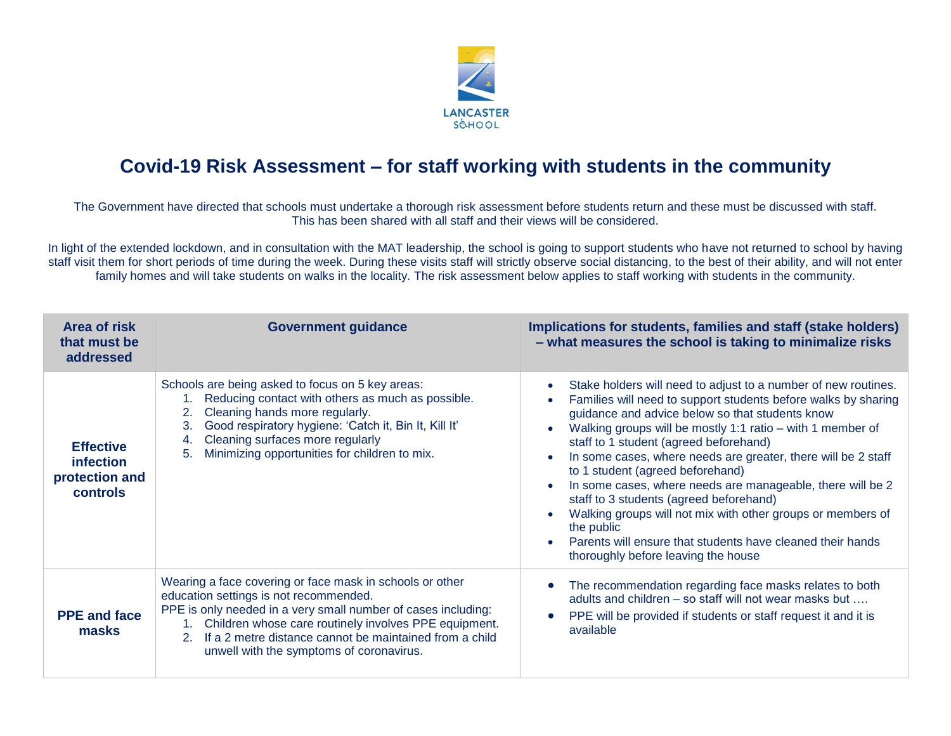

## **Covid-19 Risk Assessment – for staff working with students in the community**

The Government have directed that schools must undertake a thorough risk assessment before students return and these must be discussed with staff. This has been shared with all staff and their views will be considered.

In light of the extended lockdown, and in consultation with the MAT leadership, the school is going to support students who have not returned to school by having staff visit them for short periods of time during the week. During these visits staff will strictly observe social distancing, to the best of their ability, and will not enter family homes and will take students on walks in the locality. The risk assessment below applies to staff working with students in the community.

| <b>Area of risk</b><br>that must be<br>addressed                   | <b>Government guidance</b>                                                                                                                                                                                                                                                                                                                | Implications for students, families and staff (stake holders)<br>- what measures the school is taking to minimalize risks                                                                                                                                                                                                                                                                                                                                                                                                                                                                                                                                                                   |
|--------------------------------------------------------------------|-------------------------------------------------------------------------------------------------------------------------------------------------------------------------------------------------------------------------------------------------------------------------------------------------------------------------------------------|---------------------------------------------------------------------------------------------------------------------------------------------------------------------------------------------------------------------------------------------------------------------------------------------------------------------------------------------------------------------------------------------------------------------------------------------------------------------------------------------------------------------------------------------------------------------------------------------------------------------------------------------------------------------------------------------|
| <b>Effective</b><br>infection<br>protection and<br><b>controls</b> | Schools are being asked to focus on 5 key areas:<br>Reducing contact with others as much as possible.<br>Cleaning hands more regularly.<br>2.<br>Good respiratory hygiene: 'Catch it, Bin It, Kill It'<br>3.<br>Cleaning surfaces more regularly<br>4.<br>Minimizing opportunities for children to mix.<br>5.                             | Stake holders will need to adjust to a number of new routines.<br>Families will need to support students before walks by sharing<br>guidance and advice below so that students know<br>Walking groups will be mostly 1:1 ratio – with 1 member of<br>staff to 1 student (agreed beforehand)<br>In some cases, where needs are greater, there will be 2 staff<br>to 1 student (agreed beforehand)<br>In some cases, where needs are manageable, there will be 2<br>staff to 3 students (agreed beforehand)<br>Walking groups will not mix with other groups or members of<br>the public<br>Parents will ensure that students have cleaned their hands<br>thoroughly before leaving the house |
| <b>PPE and face</b><br>masks                                       | Wearing a face covering or face mask in schools or other<br>education settings is not recommended.<br>PPE is only needed in a very small number of cases including:<br>Children whose care routinely involves PPE equipment.<br>If a 2 metre distance cannot be maintained from a child<br>2.<br>unwell with the symptoms of coronavirus. | The recommendation regarding face masks relates to both<br>adults and children – so staff will not wear masks but<br>PPE will be provided if students or staff request it and it is<br>available                                                                                                                                                                                                                                                                                                                                                                                                                                                                                            |